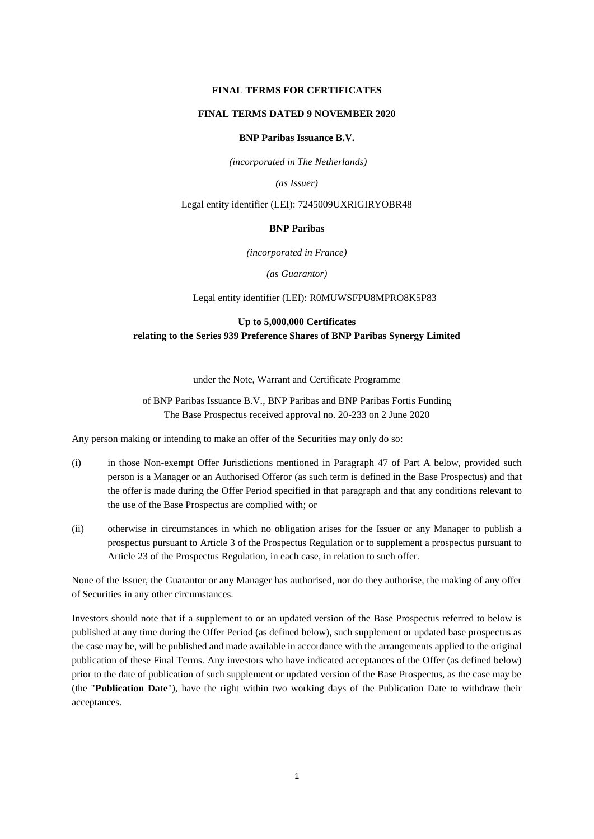## **FINAL TERMS FOR CERTIFICATES**

## **FINAL TERMS DATED 9 NOVEMBER 2020**

## **BNP Paribas Issuance B.V.**

*(incorporated in The Netherlands)*

*(as Issuer)*

## Legal entity identifier (LEI): 7245009UXRIGIRYOBR48

## **BNP Paribas**

*(incorporated in France)*

*(as Guarantor)*

## Legal entity identifier (LEI): R0MUWSFPU8MPRO8K5P83

# **Up to 5,000,000 Certificates relating to the Series 939 Preference Shares of BNP Paribas Synergy Limited**

under the Note, Warrant and Certificate Programme

# of BNP Paribas Issuance B.V., BNP Paribas and BNP Paribas Fortis Funding The Base Prospectus received approval no. 20-233 on 2 June 2020

Any person making or intending to make an offer of the Securities may only do so:

- (i) in those Non-exempt Offer Jurisdictions mentioned in Paragraph 47 of Part A below, provided such person is a Manager or an Authorised Offeror (as such term is defined in the Base Prospectus) and that the offer is made during the Offer Period specified in that paragraph and that any conditions relevant to the use of the Base Prospectus are complied with; or
- (ii) otherwise in circumstances in which no obligation arises for the Issuer or any Manager to publish a prospectus pursuant to Article 3 of the Prospectus Regulation or to supplement a prospectus pursuant to Article 23 of the Prospectus Regulation, in each case, in relation to such offer.

None of the Issuer, the Guarantor or any Manager has authorised, nor do they authorise, the making of any offer of Securities in any other circumstances.

Investors should note that if a supplement to or an updated version of the Base Prospectus referred to below is published at any time during the Offer Period (as defined below), such supplement or updated base prospectus as the case may be, will be published and made available in accordance with the arrangements applied to the original publication of these Final Terms. Any investors who have indicated acceptances of the Offer (as defined below) prior to the date of publication of such supplement or updated version of the Base Prospectus, as the case may be (the "**Publication Date**"), have the right within two working days of the Publication Date to withdraw their acceptances.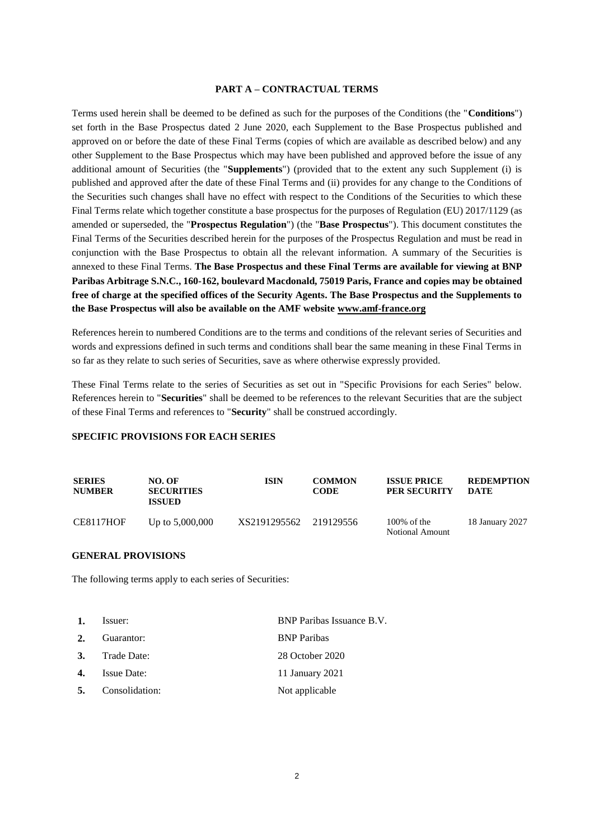## **PART A – CONTRACTUAL TERMS**

Terms used herein shall be deemed to be defined as such for the purposes of the Conditions (the "**Conditions**") set forth in the Base Prospectus dated 2 June 2020, each Supplement to the Base Prospectus published and approved on or before the date of these Final Terms (copies of which are available as described below) and any other Supplement to the Base Prospectus which may have been published and approved before the issue of any additional amount of Securities (the "**Supplements**") (provided that to the extent any such Supplement (i) is published and approved after the date of these Final Terms and (ii) provides for any change to the Conditions of the Securities such changes shall have no effect with respect to the Conditions of the Securities to which these Final Terms relate which together constitute a base prospectus for the purposes of Regulation (EU) 2017/1129 (as amended or superseded, the "**Prospectus Regulation**") (the "**Base Prospectus**"). This document constitutes the Final Terms of the Securities described herein for the purposes of the Prospectus Regulation and must be read in conjunction with the Base Prospectus to obtain all the relevant information. A summary of the Securities is annexed to these Final Terms. **The Base Prospectus and these Final Terms are available for viewing at BNP Paribas Arbitrage S.N.C., 160-162, boulevard Macdonald, 75019 Paris, France and copies may be obtained free of charge at the specified offices of the Security Agents. The Base Prospectus and the Supplements to the Base Prospectus will also be available on the AMF website [www.amf-france.org](http://www.amf-france.org/)**

References herein to numbered Conditions are to the terms and conditions of the relevant series of Securities and words and expressions defined in such terms and conditions shall bear the same meaning in these Final Terms in so far as they relate to such series of Securities, save as where otherwise expressly provided.

These Final Terms relate to the series of Securities as set out in "Specific Provisions for each Series" below. References herein to "**Securities**" shall be deemed to be references to the relevant Securities that are the subject of these Final Terms and references to "**Security**" shall be construed accordingly.

## **SPECIFIC PROVISIONS FOR EACH SERIES**

| <b>SERIES</b><br><b>NUMBER</b> | NO. OF<br><b>SECURITIES</b><br><b>ISSUED</b> | <b>ISIN</b>            | <b>COMMON</b><br>CODE | <b>ISSUE PRICE</b><br><b>PER SECURITY</b> | <b>REDEMPTION</b><br>DATE |
|--------------------------------|----------------------------------------------|------------------------|-----------------------|-------------------------------------------|---------------------------|
| CE8117HOF                      | Up to $5,000,000$                            | XS2191295562 219129556 |                       | $100\%$ of the<br><b>Notional Amount</b>  | 18 January 2027           |

## **GENERAL PROVISIONS**

The following terms apply to each series of Securities:

| 1. | Issuer:            | BNP Paribas Issuance B.V. |  |  |
|----|--------------------|---------------------------|--|--|
| 2. | Guarantor:         | <b>BNP</b> Paribas        |  |  |
|    | 3. Trade Date:     | 28 October 2020           |  |  |
| 4. | <b>Issue Date:</b> | 11 January 2021           |  |  |
| 5. | Consolidation:     | Not applicable            |  |  |
|    |                    |                           |  |  |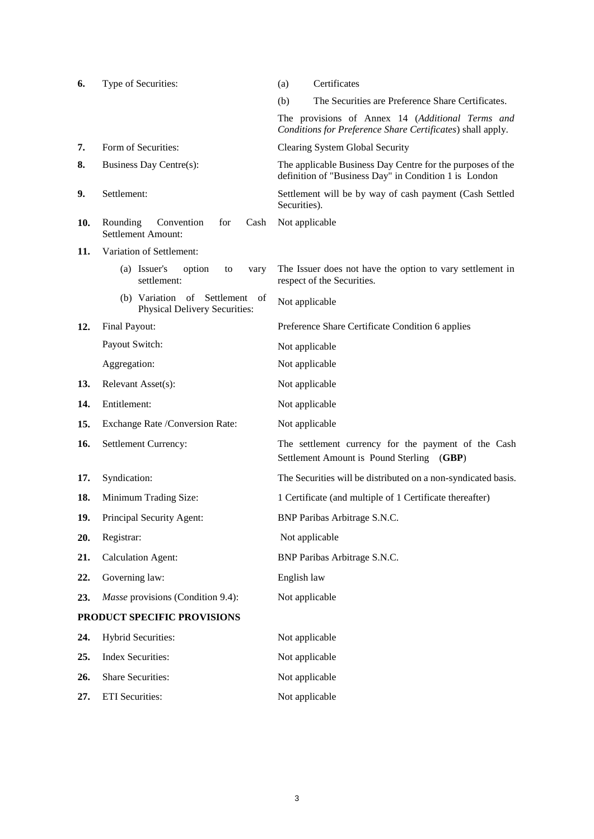| 6.  | Type of Securities:                                                | Certificates<br>(a)                                                                                                 |
|-----|--------------------------------------------------------------------|---------------------------------------------------------------------------------------------------------------------|
|     |                                                                    | The Securities are Preference Share Certificates.<br>(b)                                                            |
|     |                                                                    | The provisions of Annex 14 (Additional Terms and<br>Conditions for Preference Share Certificates) shall apply.      |
| 7.  | Form of Securities:                                                | Clearing System Global Security                                                                                     |
| 8.  | Business Day Centre(s):                                            | The applicable Business Day Centre for the purposes of the<br>definition of "Business Day" in Condition 1 is London |
| 9.  | Settlement:                                                        | Settlement will be by way of cash payment (Cash Settled<br>Securities).                                             |
| 10. | Rounding<br>Convention<br>for<br>Cash<br><b>Settlement Amount:</b> | Not applicable                                                                                                      |
| 11. | Variation of Settlement:                                           |                                                                                                                     |
|     | (a) Issuer's<br>option<br>to<br>vary<br>settlement:                | The Issuer does not have the option to vary settlement in<br>respect of the Securities.                             |
|     | (b) Variation of Settlement of<br>Physical Delivery Securities:    | Not applicable                                                                                                      |
| 12. | Final Payout:                                                      | Preference Share Certificate Condition 6 applies                                                                    |
|     | Payout Switch:                                                     | Not applicable                                                                                                      |
|     | Aggregation:                                                       | Not applicable                                                                                                      |
| 13. | Relevant Asset(s):                                                 | Not applicable                                                                                                      |
| 14. | Entitlement:                                                       | Not applicable                                                                                                      |
| 15. | Exchange Rate /Conversion Rate:                                    | Not applicable                                                                                                      |
| 16. | Settlement Currency:                                               | The settlement currency for the payment of the Cash<br>Settlement Amount is Pound Sterling (GBP)                    |
| 17. | Syndication:                                                       | The Securities will be distributed on a non-syndicated basis.                                                       |
| 18. | Minimum Trading Size:                                              | 1 Certificate (and multiple of 1 Certificate thereafter)                                                            |
| 19. | Principal Security Agent:                                          | BNP Paribas Arbitrage S.N.C.                                                                                        |
| 20. | Registrar:                                                         | Not applicable                                                                                                      |
| 21. | <b>Calculation Agent:</b>                                          | BNP Paribas Arbitrage S.N.C.                                                                                        |
| 22. | Governing law:                                                     | English law                                                                                                         |
| 23. | Masse provisions (Condition 9.4):                                  | Not applicable                                                                                                      |
|     | PRODUCT SPECIFIC PROVISIONS                                        |                                                                                                                     |
| 24. | <b>Hybrid Securities:</b>                                          | Not applicable                                                                                                      |
| 25. | <b>Index Securities:</b>                                           | Not applicable                                                                                                      |
| 26. | <b>Share Securities:</b>                                           | Not applicable                                                                                                      |
|     |                                                                    |                                                                                                                     |

27. ETI Securities: Not applicable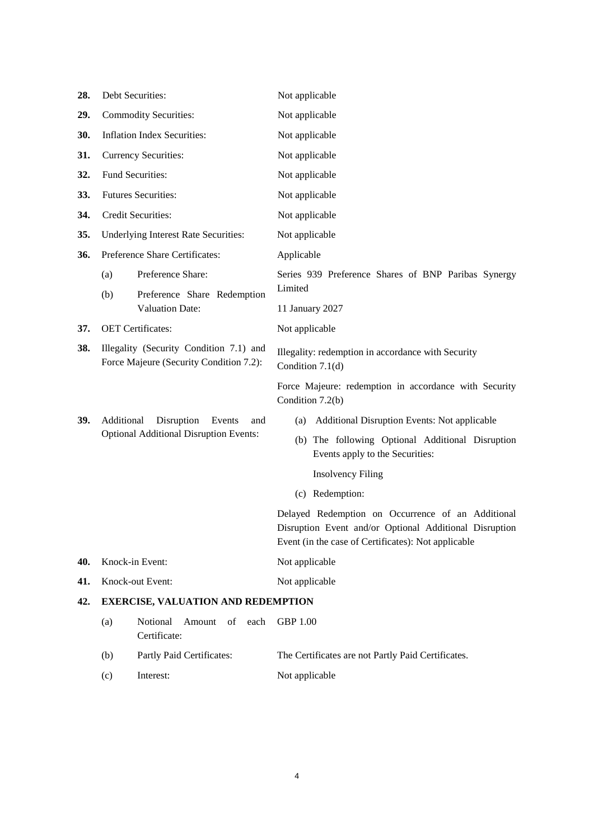| 28. | Debt Securities:                                                                   | Not applicable                                                                                                                                                     |  |  |  |
|-----|------------------------------------------------------------------------------------|--------------------------------------------------------------------------------------------------------------------------------------------------------------------|--|--|--|
| 29. | <b>Commodity Securities:</b>                                                       | Not applicable                                                                                                                                                     |  |  |  |
| 30. | <b>Inflation Index Securities:</b>                                                 | Not applicable                                                                                                                                                     |  |  |  |
| 31. | <b>Currency Securities:</b>                                                        | Not applicable                                                                                                                                                     |  |  |  |
| 32. | Fund Securities:                                                                   | Not applicable                                                                                                                                                     |  |  |  |
| 33. | <b>Futures Securities:</b>                                                         | Not applicable                                                                                                                                                     |  |  |  |
| 34. | <b>Credit Securities:</b>                                                          | Not applicable                                                                                                                                                     |  |  |  |
| 35. | <b>Underlying Interest Rate Securities:</b>                                        | Not applicable                                                                                                                                                     |  |  |  |
| 36. | Preference Share Certificates:                                                     | Applicable                                                                                                                                                         |  |  |  |
|     | Preference Share:<br>(a)                                                           | Series 939 Preference Shares of BNP Paribas Synergy                                                                                                                |  |  |  |
|     | (b)<br>Preference Share Redemption                                                 | Limited                                                                                                                                                            |  |  |  |
|     | <b>Valuation Date:</b>                                                             | 11 January 2027                                                                                                                                                    |  |  |  |
| 37. | <b>OET</b> Certificates:                                                           | Not applicable                                                                                                                                                     |  |  |  |
| 38. | Illegality (Security Condition 7.1) and<br>Force Majeure (Security Condition 7.2): | Illegality: redemption in accordance with Security<br>Condition $7.1(d)$                                                                                           |  |  |  |
|     |                                                                                    | Force Majeure: redemption in accordance with Security<br>Condition 7.2(b)                                                                                          |  |  |  |
| 39. | Disruption<br>Additional<br>Events<br>and                                          | Additional Disruption Events: Not applicable<br>(a)                                                                                                                |  |  |  |
|     | <b>Optional Additional Disruption Events:</b>                                      | (b) The following Optional Additional Disruption<br>Events apply to the Securities:                                                                                |  |  |  |
|     |                                                                                    | <b>Insolvency Filing</b>                                                                                                                                           |  |  |  |
|     |                                                                                    | (c) Redemption:                                                                                                                                                    |  |  |  |
|     |                                                                                    | Delayed Redemption on Occurrence of an Additional<br>Disruption Event and/or Optional Additional Disruption<br>Event (in the case of Certificates): Not applicable |  |  |  |
| 40. | Knock-in Event:                                                                    | Not applicable                                                                                                                                                     |  |  |  |
| 41. | Knock-out Event:                                                                   | Not applicable                                                                                                                                                     |  |  |  |
| 42. | <b>EXERCISE, VALUATION AND REDEMPTION</b>                                          |                                                                                                                                                                    |  |  |  |
|     | Notional<br>Amount<br>(a)<br>of<br>each<br>Certificate:                            | <b>GBP 1.00</b>                                                                                                                                                    |  |  |  |
|     | (b)<br>Partly Paid Certificates:                                                   | The Certificates are not Partly Paid Certificates.                                                                                                                 |  |  |  |
|     | Interest:<br>(c)                                                                   | Not applicable                                                                                                                                                     |  |  |  |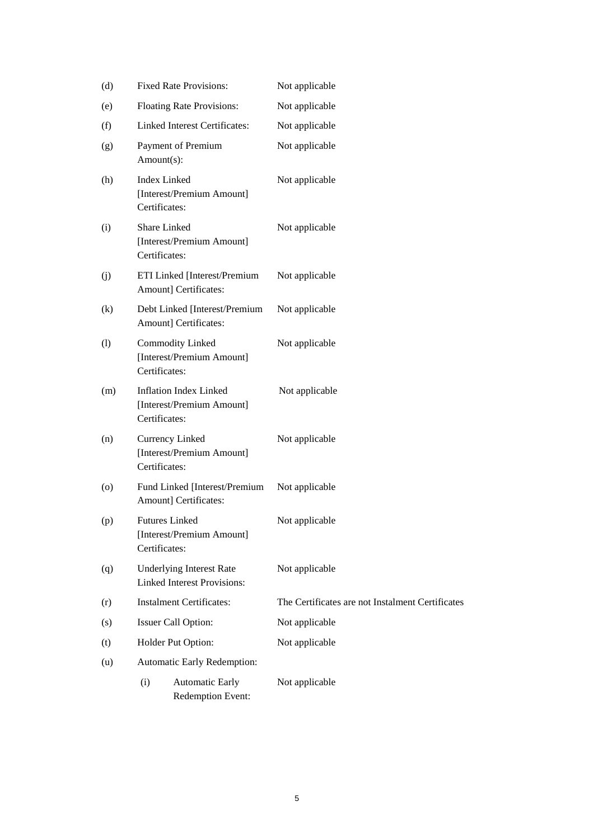| (d)                | <b>Fixed Rate Provisions:</b>                                               | Not applicable                                   |
|--------------------|-----------------------------------------------------------------------------|--------------------------------------------------|
| (e)                | <b>Floating Rate Provisions:</b>                                            | Not applicable                                   |
| (f)                | <b>Linked Interest Certificates:</b>                                        | Not applicable                                   |
| (g)                | Payment of Premium<br>Amount(s):                                            | Not applicable                                   |
| (h)                | <b>Index Linked</b><br>[Interest/Premium Amount]<br>Certificates:           | Not applicable                                   |
| (i)                | Share Linked<br>[Interest/Premium Amount]<br>Certificates:                  | Not applicable                                   |
| (j)                | ETI Linked [Interest/Premium<br>Amount] Certificates:                       | Not applicable                                   |
| (k)                | Debt Linked [Interest/Premium<br>Amount] Certificates:                      | Not applicable                                   |
| (1)                | <b>Commodity Linked</b><br>[Interest/Premium Amount]<br>Certificates:       | Not applicable                                   |
| (m)                | <b>Inflation Index Linked</b><br>[Interest/Premium Amount]<br>Certificates: | Not applicable                                   |
| (n)                | Currency Linked<br>[Interest/Premium Amount]<br>Certificates:               | Not applicable                                   |
| $\left( 0 \right)$ | Fund Linked [Interest/Premium<br>Amount] Certificates:                      | Not applicable                                   |
| (p)                | <b>Futures Linked</b><br>[Interest/Premium Amount]<br>Certificates:         | Not applicable                                   |
| (q)                | <b>Underlying Interest Rate</b><br><b>Linked Interest Provisions:</b>       | Not applicable                                   |
| (r)                | <b>Instalment Certificates:</b>                                             | The Certificates are not Instalment Certificates |
| (s)                | <b>Issuer Call Option:</b>                                                  | Not applicable                                   |
| (t)                | Holder Put Option:                                                          | Not applicable                                   |
| (u)                | Automatic Early Redemption:                                                 |                                                  |
|                    | (i)<br><b>Automatic Early</b><br>Redemption Event:                          | Not applicable                                   |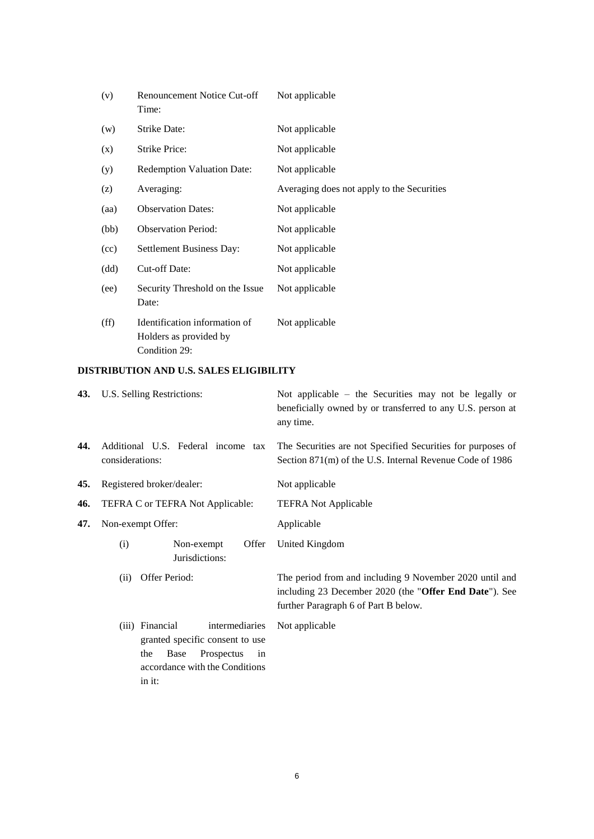| (v)  | Renouncement Notice Cut-off<br>Time:                                     | Not applicable                             |
|------|--------------------------------------------------------------------------|--------------------------------------------|
| (w)  | Strike Date:                                                             | Not applicable                             |
| (x)  | Strike Price:                                                            | Not applicable                             |
| (y)  | <b>Redemption Valuation Date:</b>                                        | Not applicable                             |
| (z)  | Averaging:                                                               | Averaging does not apply to the Securities |
| (aa) | <b>Observation Dates:</b>                                                | Not applicable                             |
| (bb) | <b>Observation Period:</b>                                               | Not applicable                             |
| (cc) | Settlement Business Day:                                                 | Not applicable                             |
| (dd) | Cut-off Date:                                                            | Not applicable                             |
| (ee) | Security Threshold on the Issue<br>Date:                                 | Not applicable                             |
| (ff) | Identification information of<br>Holders as provided by<br>Condition 29: | Not applicable                             |

# **DISTRIBUTION AND U.S. SALES ELIGIBILITY**

|     | 43. U.S. Selling Restrictions:                                                                                                                      | Not applicable $-$ the Securities may not be legally or<br>beneficially owned by or transferred to any U.S. person at<br>any time.                        |  |  |
|-----|-----------------------------------------------------------------------------------------------------------------------------------------------------|-----------------------------------------------------------------------------------------------------------------------------------------------------------|--|--|
| 44. | Additional U.S. Federal income tax<br>considerations:                                                                                               | The Securities are not Specified Securities for purposes of<br>Section 871(m) of the U.S. Internal Revenue Code of 1986                                   |  |  |
| 45. | Registered broker/dealer:                                                                                                                           | Not applicable                                                                                                                                            |  |  |
| 46. | TEFRA C or TEFRA Not Applicable:                                                                                                                    | <b>TEFRA Not Applicable</b>                                                                                                                               |  |  |
| 47. | Non-exempt Offer:                                                                                                                                   | Applicable                                                                                                                                                |  |  |
|     | Non-exempt<br>Offer<br>(i)<br>Jurisdictions:                                                                                                        | United Kingdom                                                                                                                                            |  |  |
|     | Offer Period:<br>(ii)                                                                                                                               | The period from and including 9 November 2020 until and<br>including 23 December 2020 (the "Offer End Date"). See<br>further Paragraph 6 of Part B below. |  |  |
|     | (iii) Financial<br>intermediaries<br>granted specific consent to use<br>Base<br>Prospectus<br>the<br>in<br>accordance with the Conditions<br>in it: | Not applicable                                                                                                                                            |  |  |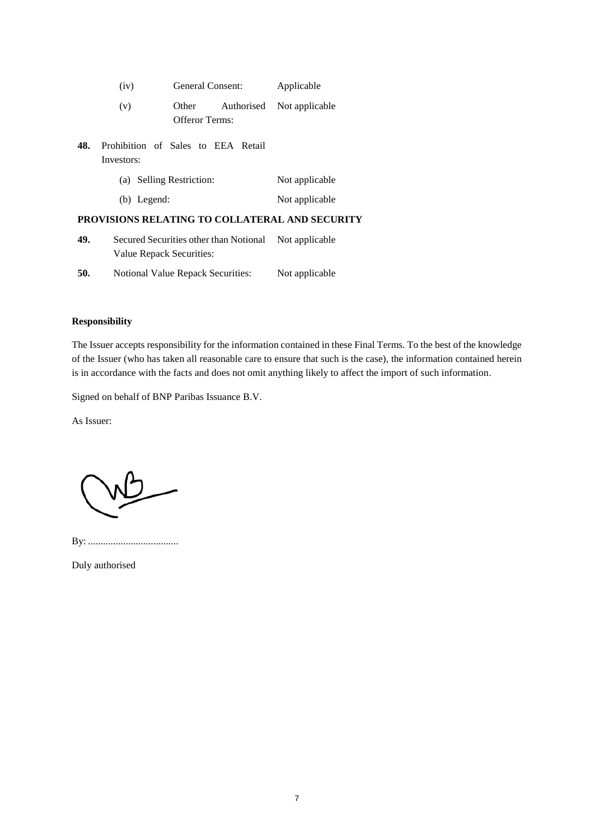|     | (iv)                                             | General Consent:         |            | Applicable                                     |  |
|-----|--------------------------------------------------|--------------------------|------------|------------------------------------------------|--|
|     | (v)                                              | Other<br>Offeror Terms:  | Authorised | Not applicable                                 |  |
| 48. | Prohibition of Sales to EEA Retail<br>Investors: |                          |            |                                                |  |
|     |                                                  | (a) Selling Restriction: |            | Not applicable                                 |  |
|     | $(b)$ Legend:                                    |                          |            | Not applicable                                 |  |
|     |                                                  |                          |            | PROVISIONS RELATING TO COLLATERAL AND SECURITY |  |
|     |                                                  |                          |            |                                                |  |

- **49.** Secured Securities other than Notional Not applicable Value Repack Securities:
- **50.** Notional Value Repack Securities: Not applicable

# **Responsibility**

The Issuer accepts responsibility for the information contained in these Final Terms. To the best of the knowledge of the Issuer (who has taken all reasonable care to ensure that such is the case), the information contained herein is in accordance with the facts and does not omit anything likely to affect the import of such information.

Signed on behalf of BNP Paribas Issuance B.V.

As Issuer:

By: ....................................

Duly authorised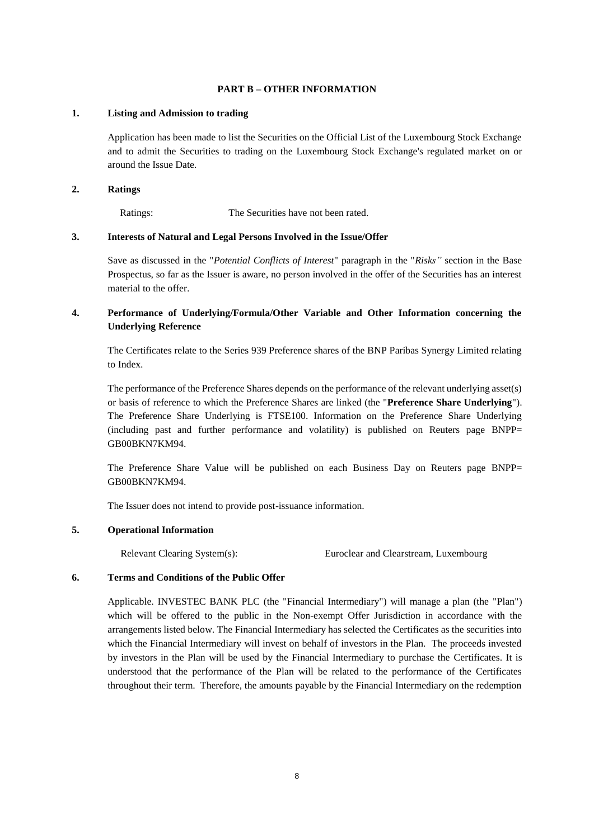# **PART B – OTHER INFORMATION**

## **1. Listing and Admission to trading**

Application has been made to list the Securities on the Official List of the Luxembourg Stock Exchange and to admit the Securities to trading on the Luxembourg Stock Exchange's regulated market on or around the Issue Date.

## **2. Ratings**

Ratings: The Securities have not been rated.

# **3. Interests of Natural and Legal Persons Involved in the Issue/Offer**

Save as discussed in the "*Potential Conflicts of Interest*" paragraph in the "*Risks"* section in the Base Prospectus, so far as the Issuer is aware, no person involved in the offer of the Securities has an interest material to the offer.

# **4. Performance of Underlying/Formula/Other Variable and Other Information concerning the Underlying Reference**

The Certificates relate to the Series 939 Preference shares of the BNP Paribas Synergy Limited relating to Index.

The performance of the Preference Shares depends on the performance of the relevant underlying asset(s) or basis of reference to which the Preference Shares are linked (the "**Preference Share Underlying**"). The Preference Share Underlying is FTSE100. Information on the Preference Share Underlying (including past and further performance and volatility) is published on Reuters page BNPP= GB00BKN7KM94.

The Preference Share Value will be published on each Business Day on Reuters page BNPP= GB00BKN7KM94.

The Issuer does not intend to provide post-issuance information.

# **5. Operational Information**

Relevant Clearing System(s): Euroclear and Clearstream, Luxembourg

## **6. Terms and Conditions of the Public Offer**

Applicable. INVESTEC BANK PLC (the "Financial Intermediary") will manage a plan (the "Plan") which will be offered to the public in the Non-exempt Offer Jurisdiction in accordance with the arrangements listed below. The Financial Intermediary has selected the Certificates as the securities into which the Financial Intermediary will invest on behalf of investors in the Plan. The proceeds invested by investors in the Plan will be used by the Financial Intermediary to purchase the Certificates. It is understood that the performance of the Plan will be related to the performance of the Certificates throughout their term. Therefore, the amounts payable by the Financial Intermediary on the redemption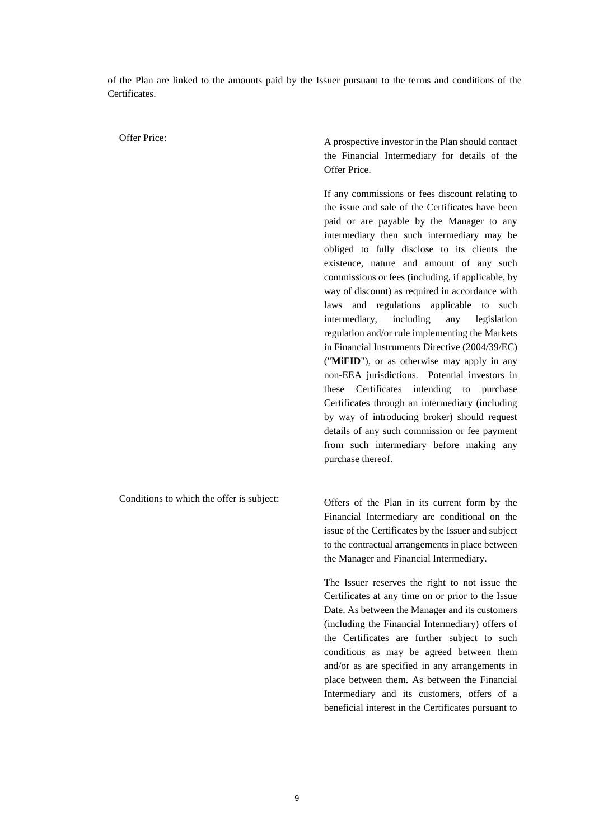of the Plan are linked to the amounts paid by the Issuer pursuant to the terms and conditions of the Certificates.

Offer Price:<br>
A prospective investor in the Plan should contact the Financial Intermediary for details of the Offer Price.

> If any commissions or fees discount relating to the issue and sale of the Certificates have been paid or are payable by the Manager to any intermediary then such intermediary may be obliged to fully disclose to its clients the existence, nature and amount of any such commissions or fees (including, if applicable, by way of discount) as required in accordance with laws and regulations applicable to such intermediary, including any legislation regulation and/or rule implementing the Markets in Financial Instruments Directive (2004/39/EC) ("**MiFID**"), or as otherwise may apply in any non-EEA jurisdictions. Potential investors in these Certificates intending to purchase Certificates through an intermediary (including by way of introducing broker) should request details of any such commission or fee payment from such intermediary before making any purchase thereof.

Conditions to which the offer is subject: Offers of the Plan in its current form by the Financial Intermediary are conditional on the issue of the Certificates by the Issuer and subject

> The Issuer reserves the right to not issue the Certificates at any time on or prior to the Issue Date. As between the Manager and its customers (including the Financial Intermediary) offers of the Certificates are further subject to such conditions as may be agreed between them and/or as are specified in any arrangements in place between them. As between the Financial Intermediary and its customers, offers of a beneficial interest in the Certificates pursuant to

to the contractual arrangements in place between

the Manager and Financial Intermediary.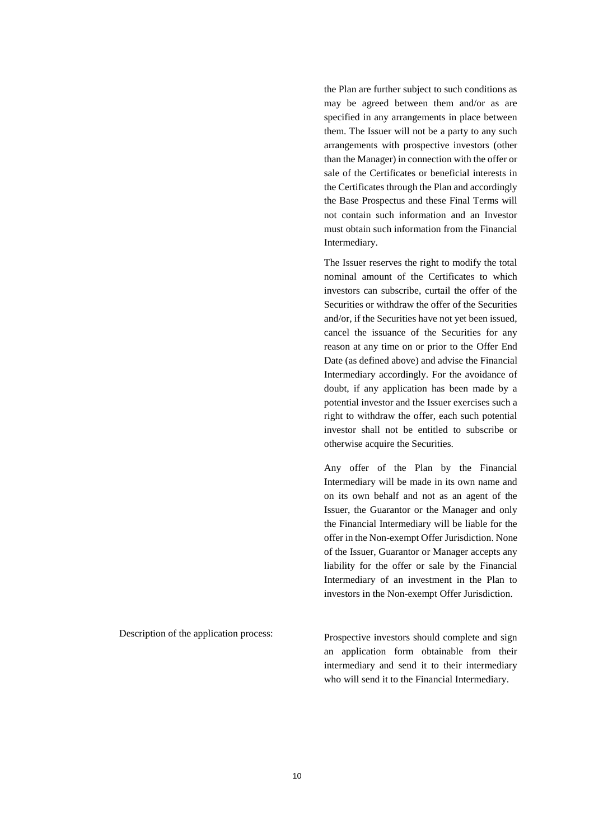the Plan are further subject to such conditions as may be agreed between them and/or as are specified in any arrangements in place between them. The Issuer will not be a party to any such arrangements with prospective investors (other than the Manager) in connection with the offer or sale of the Certificates or beneficial interests in the Certificates through the Plan and accordingly the Base Prospectus and these Final Terms will not contain such information and an Investor must obtain such information from the Financial Intermediary.

The Issuer reserves the right to modify the total nominal amount of the Certificates to which investors can subscribe, curtail the offer of the Securities or withdraw the offer of the Securities and/or, if the Securities have not yet been issued, cancel the issuance of the Securities for any reason at any time on or prior to the Offer End Date (as defined above) and advise the Financial Intermediary accordingly. For the avoidance of doubt, if any application has been made by a potential investor and the Issuer exercises such a right to withdraw the offer, each such potential investor shall not be entitled to subscribe or otherwise acquire the Securities.

Any offer of the Plan by the Financial Intermediary will be made in its own name and on its own behalf and not as an agent of the Issuer, the Guarantor or the Manager and only the Financial Intermediary will be liable for the offer in the Non-exempt Offer Jurisdiction. None of the Issuer, Guarantor or Manager accepts any liability for the offer or sale by the Financial Intermediary of an investment in the Plan to investors in the Non-exempt Offer Jurisdiction.

Description of the application process:<br>
Prospective investors should complete and sign an application form obtainable from their intermediary and send it to their intermediary who will send it to the Financial Intermediary.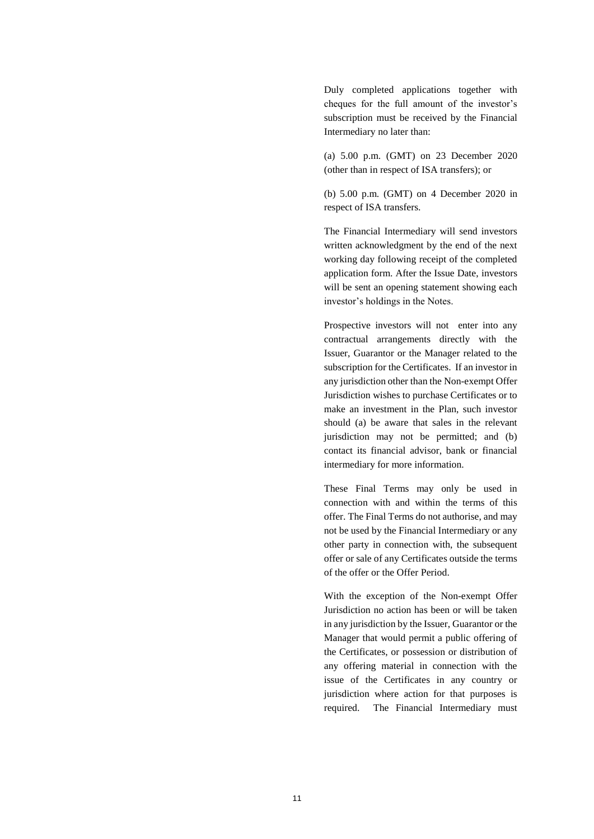Duly completed applications together with cheques for the full amount of the investor's subscription must be received by the Financial Intermediary no later than:

(a) 5.00 p.m. (GMT) on 23 December 2020 (other than in respect of ISA transfers); or

(b) 5.00 p.m. (GMT) on 4 December 2020 in respect of ISA transfers.

The Financial Intermediary will send investors written acknowledgment by the end of the next working day following receipt of the completed application form. After the Issue Date, investors will be sent an opening statement showing each investor's holdings in the Notes.

Prospective investors will not enter into any contractual arrangements directly with the Issuer, Guarantor or the Manager related to the subscription for the Certificates. If an investor in any jurisdiction other than the Non-exempt Offer Jurisdiction wishes to purchase Certificates or to make an investment in the Plan, such investor should (a) be aware that sales in the relevant jurisdiction may not be permitted; and (b) contact its financial advisor, bank or financial intermediary for more information.

These Final Terms may only be used in connection with and within the terms of this offer. The Final Terms do not authorise, and may not be used by the Financial Intermediary or any other party in connection with, the subsequent offer or sale of any Certificates outside the terms of the offer or the Offer Period.

With the exception of the Non-exempt Offer Jurisdiction no action has been or will be taken in any jurisdiction by the Issuer, Guarantor or the Manager that would permit a public offering of the Certificates, or possession or distribution of any offering material in connection with the issue of the Certificates in any country or jurisdiction where action for that purposes is required. The Financial Intermediary must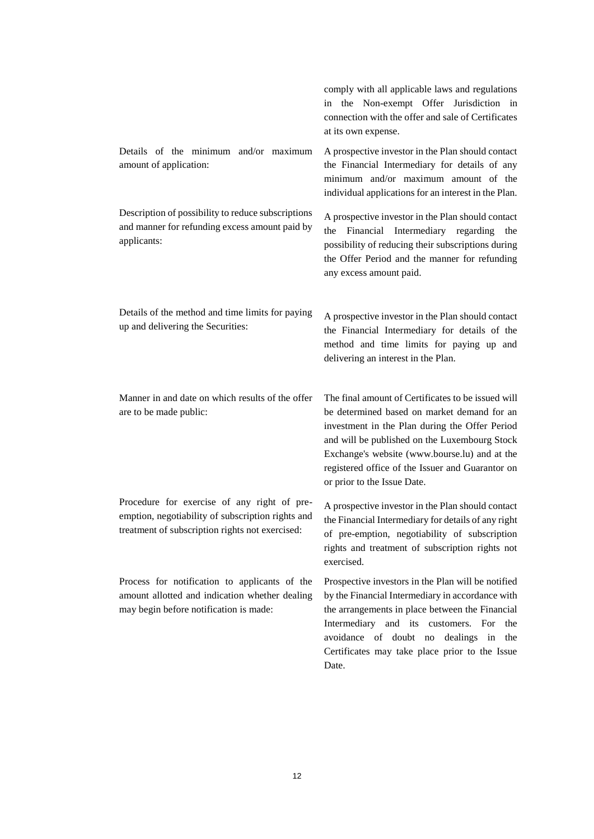|                                                                                                                                                     | comply with all applicable laws and regulations<br>in the Non-exempt Offer Jurisdiction in<br>connection with the offer and sale of Certificates<br>at its own expense.                                                                                                                                                                  |
|-----------------------------------------------------------------------------------------------------------------------------------------------------|------------------------------------------------------------------------------------------------------------------------------------------------------------------------------------------------------------------------------------------------------------------------------------------------------------------------------------------|
| Details of the minimum and/or maximum<br>amount of application:                                                                                     | A prospective investor in the Plan should contact<br>the Financial Intermediary for details of any<br>minimum and/or maximum amount of the<br>individual applications for an interest in the Plan.                                                                                                                                       |
| Description of possibility to reduce subscriptions<br>and manner for refunding excess amount paid by<br>applicants:                                 | A prospective investor in the Plan should contact<br>Financial Intermediary regarding<br>the<br>the<br>possibility of reducing their subscriptions during<br>the Offer Period and the manner for refunding<br>any excess amount paid.                                                                                                    |
| Details of the method and time limits for paying<br>up and delivering the Securities:                                                               | A prospective investor in the Plan should contact<br>the Financial Intermediary for details of the<br>method and time limits for paying up and<br>delivering an interest in the Plan.                                                                                                                                                    |
| Manner in and date on which results of the offer<br>are to be made public:                                                                          | The final amount of Certificates to be issued will<br>be determined based on market demand for an<br>investment in the Plan during the Offer Period<br>and will be published on the Luxembourg Stock<br>Exchange's website (www.bourse.lu) and at the<br>registered office of the Issuer and Guarantor on<br>or prior to the Issue Date. |
| Procedure for exercise of any right of pre-<br>emption, negotiability of subscription rights and<br>treatment of subscription rights not exercised: | A prospective investor in the Plan should contact<br>the Financial Intermediary for details of any right<br>of pre-emption, negotiability of subscription<br>rights and treatment of subscription rights not<br>exercised.                                                                                                               |
| Process for notification to applicants of the<br>amount allotted and indication whether dealing<br>may begin before notification is made:           | Prospective investors in the Plan will be notified<br>by the Financial Intermediary in accordance with<br>the arrangements in place between the Financial<br>Intermediary and its customers. For<br>the<br>avoidance of doubt no<br>dealings in<br>the<br>Certificates may take place prior to the Issue<br>Date.                        |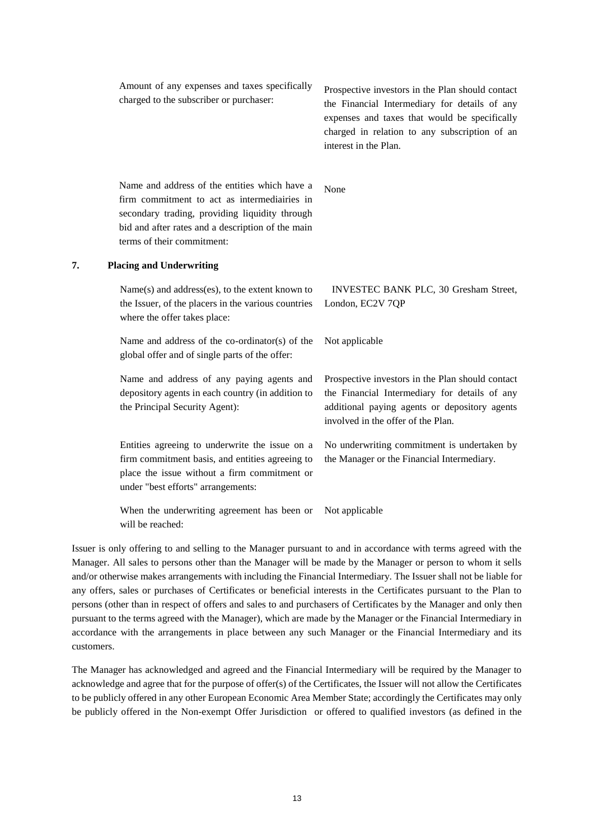| Amount of any expenses and taxes specifically<br>charged to the subscriber or purchaser:                                                                                                                                           | Prospective investors in the Plan should contact<br>the Financial Intermediary for details of any<br>expenses and taxes that would be specifically<br>charged in relation to any subscription of an<br>interest in the Plan. |
|------------------------------------------------------------------------------------------------------------------------------------------------------------------------------------------------------------------------------------|------------------------------------------------------------------------------------------------------------------------------------------------------------------------------------------------------------------------------|
| Name and address of the entities which have a<br>firm commitment to act as intermediairies in<br>secondary trading, providing liquidity through<br>bid and after rates and a description of the main<br>terms of their commitment: | None                                                                                                                                                                                                                         |
|                                                                                                                                                                                                                                    |                                                                                                                                                                                                                              |

## **7. Placing and Underwriting**

| $Name(s)$ and address(es), to the extent known to<br>the Issuer, of the placers in the various countries                                                                                | INVESTEC BANK PLC, 30 Gresham Street,<br>London, EC2V 7QP                                                                                                                                |
|-----------------------------------------------------------------------------------------------------------------------------------------------------------------------------------------|------------------------------------------------------------------------------------------------------------------------------------------------------------------------------------------|
| where the offer takes place:                                                                                                                                                            |                                                                                                                                                                                          |
| Name and address of the co-ordinator(s) of the<br>global offer and of single parts of the offer:                                                                                        | Not applicable                                                                                                                                                                           |
| Name and address of any paying agents and<br>depository agents in each country (in addition to<br>the Principal Security Agent):                                                        | Prospective investors in the Plan should contact<br>the Financial Intermediary for details of any<br>additional paying agents or depository agents<br>involved in the offer of the Plan. |
| Entities agreeing to underwrite the issue on a<br>firm commitment basis, and entities agreeing to<br>place the issue without a firm commitment or<br>under "best efforts" arrangements: | No underwriting commitment is undertaken by<br>the Manager or the Financial Intermediary.                                                                                                |

When the underwriting agreement has been or Not applicable will be reached:

Issuer is only offering to and selling to the Manager pursuant to and in accordance with terms agreed with the Manager. All sales to persons other than the Manager will be made by the Manager or person to whom it sells and/or otherwise makes arrangements with including the Financial Intermediary. The Issuer shall not be liable for any offers, sales or purchases of Certificates or beneficial interests in the Certificates pursuant to the Plan to persons (other than in respect of offers and sales to and purchasers of Certificates by the Manager and only then pursuant to the terms agreed with the Manager), which are made by the Manager or the Financial Intermediary in accordance with the arrangements in place between any such Manager or the Financial Intermediary and its customers.

The Manager has acknowledged and agreed and the Financial Intermediary will be required by the Manager to acknowledge and agree that for the purpose of offer(s) of the Certificates, the Issuer will not allow the Certificates to be publicly offered in any other European Economic Area Member State; accordingly the Certificates may only be publicly offered in the Non-exempt Offer Jurisdiction or offered to qualified investors (as defined in the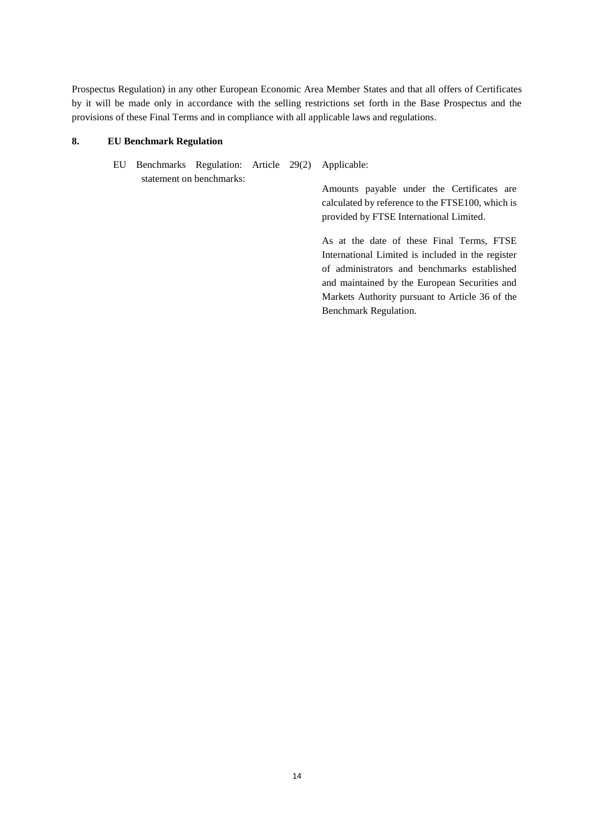Prospectus Regulation) in any other European Economic Area Member States and that all offers of Certificates by it will be made only in accordance with the selling restrictions set forth in the Base Prospectus and the provisions of these Final Terms and in compliance with all applicable laws and regulations.

# **8. EU Benchmark Regulation**

EU Benchmarks Regulation: Article 29(2) statement on benchmarks: Applicable:

Amounts payable under the Certificates are calculated by reference to the FTSE100, which is provided by FTSE International Limited.

As at the date of these Final Terms, FTSE International Limited is included in the register of administrators and benchmarks established and maintained by the European Securities and Markets Authority pursuant to Article 36 of the Benchmark Regulation.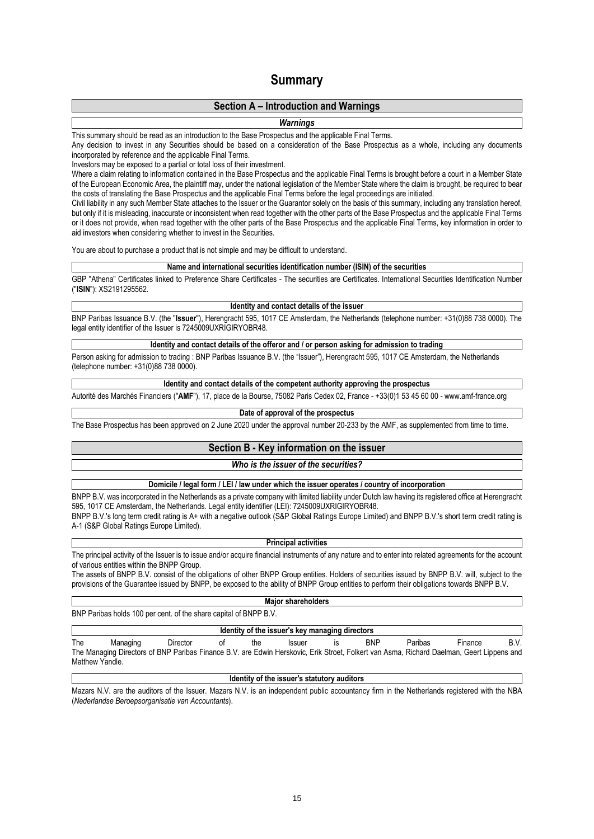# **Summary**

# **Section A – Introduction and Warnings**

## *Warnings*

### This summary should be read as an introduction to the Base Prospectus and the applicable Final Terms.

Any decision to invest in any Securities should be based on a consideration of the Base Prospectus as a whole, including any documents incorporated by reference and the applicable Final Terms.

Investors may be exposed to a partial or total loss of their investment.

Where a claim relating to information contained in the Base Prospectus and the applicable Final Terms is brought before a court in a Member State of the European Economic Area, the plaintiff may, under the national legislation of the Member State where the claim is brought, be required to bear the costs of translating the Base Prospectus and the applicable Final Terms before the legal proceedings are initiated.

Civil liability in any such Member State attaches to the Issuer or the Guarantor solely on the basis of this summary, including any translation hereof, but only if it is misleading, inaccurate or inconsistent when read together with the other parts of the Base Prospectus and the applicable Final Terms or it does not provide, when read together with the other parts of the Base Prospectus and the applicable Final Terms, key information in order to aid investors when considering whether to invest in the Securities.

You are about to purchase a product that is not simple and may be difficult to understand.

#### **Name and international securities identification number (ISIN) of the securities**

GBP "Athena" Certificates linked to Preference Share Certificates - The securities are Certificates. International Securities Identification Number ("**ISIN**"): XS2191295562.

**Identity and contact details of the issuer**

BNP Paribas Issuance B.V. (the "**Issuer**"), Herengracht 595, 1017 CE Amsterdam, the Netherlands (telephone number: +31(0)88 738 0000). The legal entity identifier of the Issuer is 7245009UXRIGIRYOBR48.

## **Identity and contact details of the offeror and / or person asking for admission to trading**

Person asking for admission to trading : BNP Paribas Issuance B.V. (the "Issuer"), Herengracht 595, 1017 CE Amsterdam, the Netherlands (telephone number: +31(0)88 738 0000).

## **Identity and contact details of the competent authority approving the prospectus**

Autorité des Marchés Financiers ("**AMF**"), 17, place de la Bourse, 75082 Paris Cedex 02, France - +33(0)1 53 45 60 00 - www.amf-france.org

## **Date of approval of the prospectus**

The Base Prospectus has been approved on 2 June 2020 under the approval number 20-233 by the AMF, as supplemented from time to time.

# **Section B - Key information on the issuer**

### *Who is the issuer of the securities?*

## **Domicile / legal form / LEI / law under which the issuer operates / country of incorporation**

BNPP B.V. was incorporated in the Netherlands as a private company with limited liability under Dutch law having its registered office at Herengracht 595, 1017 CE Amsterdam, the Netherlands. Legal entity identifier (LEI): 7245009UXRIGIRYOBR48. BNPP B.V.'s long term credit rating is A+ with a negative outlook (S&P Global Ratings Europe Limited) and BNPP B.V.'s short term credit rating is A-1 (S&P Global Ratings Europe Limited).

#### **Principal activities**

The principal activity of the Issuer is to issue and/or acquire financial instruments of any nature and to enter into related agreements for the account of various entities within the BNPP Group.

The assets of BNPP B.V. consist of the obligations of other BNPP Group entities. Holders of securities issued by BNPP B.V. will, subject to the provisions of the Guarantee issued by BNPP, be exposed to the ability of BNPP Group entities to perform their obligations towards BNPP B.V.

#### **Major shareholders**

BNP Paribas holds 100 per cent. of the share capital of BNPP B.V.

## **Identity of the issuer's key managing directors**

The Managing Director of the Issuer is BNP Paribas Finance B.V. The Managing Directors of BNP Paribas Finance B.V. are Edwin Herskovic, Erik Stroet, Folkert van Asma, Richard Daelman, Geert Lippens and Matthew Yandle.

## **Identity of the issuer's statutory auditors**

Mazars N.V. are the auditors of the Issuer. Mazars N.V. is an independent public accountancy firm in the Netherlands registered with the NBA (*Nederlandse Beroepsorganisatie van Accountants*).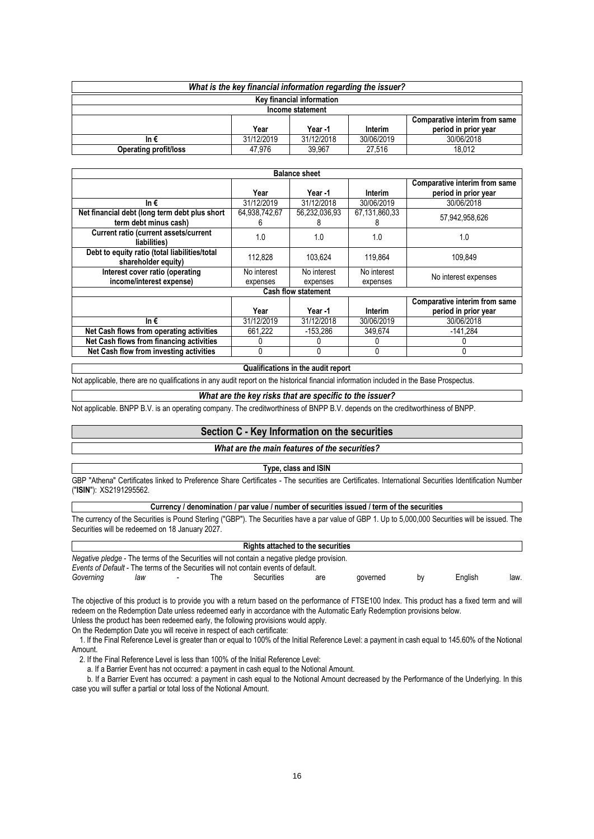| What is the key financial information regarding the issuer? |            |            |            |                      |  |
|-------------------------------------------------------------|------------|------------|------------|----------------------|--|
| Key financial information                                   |            |            |            |                      |  |
| Income statement                                            |            |            |            |                      |  |
| Comparative interim from same                               |            |            |            |                      |  |
|                                                             | Year       | Year -1    | Interim    | period in prior year |  |
| In $\epsilon$                                               | 31/12/2019 | 31/12/2018 | 30/06/2019 | 30/06/2018           |  |
| Operating profit/loss                                       | 47.976     | 39.967     | 27.516     | 18.012               |  |

| <b>Balance sheet</b>                                                 |               |               |               |                                                       |  |  |  |
|----------------------------------------------------------------------|---------------|---------------|---------------|-------------------------------------------------------|--|--|--|
|                                                                      |               |               |               | Comparative interim from same                         |  |  |  |
|                                                                      | Year          | Year -1       | Interim       | period in prior year                                  |  |  |  |
| In $\epsilon$                                                        | 31/12/2019    | 31/12/2018    | 30/06/2019    | 30/06/2018                                            |  |  |  |
| Net financial debt (long term debt plus short                        | 64,938,742,67 | 56,232,036,93 | 67,131,860,33 | 57,942,958,626                                        |  |  |  |
| term debt minus cash)                                                | h             |               |               |                                                       |  |  |  |
| Current ratio (current assets/current<br>liabilities)                | 1.0           | 1.0           | 1.0           | 1.0                                                   |  |  |  |
| Debt to equity ratio (total liabilities/total<br>shareholder equity) | 112.828       | 103.624       | 119.864       | 109.849                                               |  |  |  |
| Interest cover ratio (operating                                      | No interest   | No interest   | No interest   | No interest expenses                                  |  |  |  |
| income/interest expense)                                             | expenses      | expenses      | expenses      |                                                       |  |  |  |
| <b>Cash flow statement</b>                                           |               |               |               |                                                       |  |  |  |
|                                                                      | Year          | Year -1       | Interim       | Comparative interim from same<br>period in prior year |  |  |  |
|                                                                      |               |               |               |                                                       |  |  |  |
| In $\epsilon$                                                        | 31/12/2019    | 31/12/2018    | 30/06/2019    | 30/06/2018                                            |  |  |  |
| Net Cash flows from operating activities                             | 661.222       | $-153.286$    | 349.674       | $-141,284$                                            |  |  |  |
| Net Cash flows from financing activities                             |               |               |               |                                                       |  |  |  |
| Net Cash flow from investing activities                              |               |               | 0             |                                                       |  |  |  |

#### **Qualifications in the audit report**

Not applicable, there are no qualifications in any audit report on the historical financial information included in the Base Prospectus.

#### *What are the key risks that are specific to the issuer?*

Not applicable. BNPP B.V. is an operating company. The creditworthiness of BNPP B.V. depends on the creditworthiness of BNPP.

## **Section C - Key Information on the securities**

#### *What are the main features of the securities?*

# **Type, class and ISIN**

GBP "Athena" Certificates linked to Preference Share Certificates - The securities are Certificates. International Securities Identification Number ("**ISIN**"): XS2191295562.

## **Currency / denomination / par value / number of securities issued / term of the securities**

The currency of the Securities is Pound Sterling ("GBP"). The Securities have a par value of GBP 1. Up to 5,000,000 Securities will be issued. The Securities will be redeemed on 18 January 2027.

|           |     |     | <b>Rights attached to the securities</b>                                                                                                                                                  |     |          |    |         |      |
|-----------|-----|-----|-------------------------------------------------------------------------------------------------------------------------------------------------------------------------------------------|-----|----------|----|---------|------|
|           |     |     | <i>Negative pledge</i> - The terms of the Securities will not contain a negative pledge provision.<br>Events of Default - The terms of the Securities will not contain events of default. |     |          |    |         |      |
| Governina | law | The | Securities                                                                                                                                                                                | are | aoverned | bv | Enalish | law. |

The objective of this product is to provide you with a return based on the performance of FTSE100 Index. This product has a fixed term and will redeem on the Redemption Date unless redeemed early in accordance with the Automatic Early Redemption provisions below. Unless the product has been redeemed early, the following provisions would apply.

On the Redemption Date you will receive in respect of each certificate:

 1. If the Final Reference Level is greater than or equal to 100% of the Initial Reference Level: a payment in cash equal to 145.60% of the Notional Amount.

2. If the Final Reference Level is less than 100% of the Initial Reference Level:

a. If a Barrier Event has not occurred: a payment in cash equal to the Notional Amount.

 b. If a Barrier Event has occurred: a payment in cash equal to the Notional Amount decreased by the Performance of the Underlying. In this case you will suffer a partial or total loss of the Notional Amount.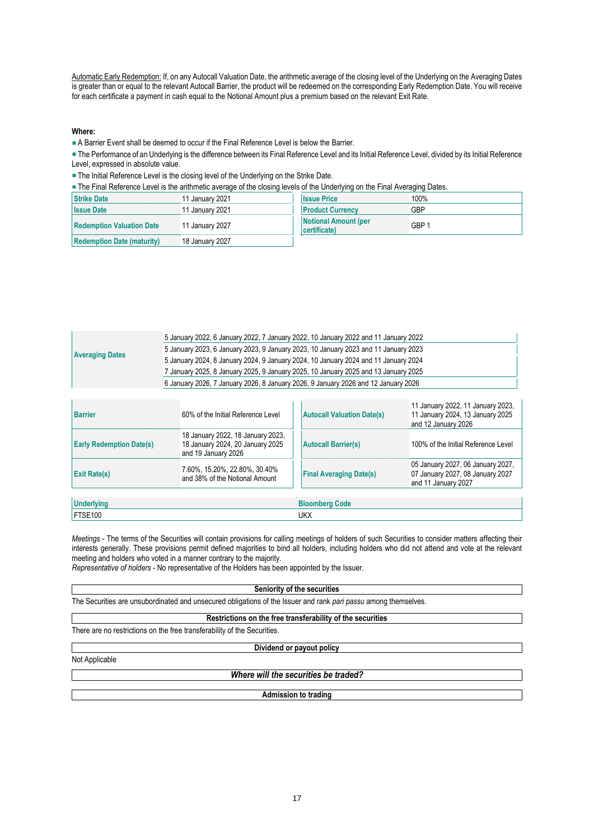Automatic Early Redemption: If, on any Autocall Valuation Date, the arithmetic average of the closing level of the Underlying on the Averaging Dates is greater than or equal to the relevant Autocall Barrier, the product will be redeemed on the corresponding Early Redemption Date. You will receive for each certificate a payment in cash equal to the Notional Amount plus a premium based on the relevant Exit Rate.

## **Where:**

A Barrier Event shall be deemed to occur if the Final Reference Level is below the Barrier.

The Performance of an Underlying is the difference between its Final Reference Level and its Initial Reference Level, divided by its Initial Reference Level, expressed in absolute value.

**- The Initial Reference Level is the closing level of the Underlying on the Strike Date.** 

The Final Reference Level is the arithmetic average of the closing levels of the Underlying on the Final Averaging Dates.

|                                   | . .             |                                          | $\sim$ |
|-----------------------------------|-----------------|------------------------------------------|--------|
| <b>Strike Date</b>                | 11 January 2021 | <b>Issue Price</b>                       | 100%   |
| <b>Issue Date</b>                 | 11 January 2021 | <b>Product Currency</b>                  | GBP    |
| <b>Redemption Valuation Date</b>  | 11 January 2027 | <b>Notional Amount (per</b><br>(lificate | GBP 1  |
| <b>Redemption Date (maturity)</b> | 18 January 2027 |                                          |        |

| <b>Averaging Dates</b> | 5 January 2022, 6 January 2022, 7 January 2022, 10 January 2022 and 11 January 2022 |
|------------------------|-------------------------------------------------------------------------------------|
|                        | 5 January 2023, 6 January 2023, 9 January 2023, 10 January 2023 and 11 January 2023 |
|                        | 5 January 2024, 8 January 2024, 9 January 2024, 10 January 2024 and 11 January 2024 |
|                        | 7 January 2025, 8 January 2025, 9 January 2025, 10 January 2025 and 13 January 2025 |
|                        | 6 January 2026, 7 January 2026, 8 January 2026, 9 January 2026 and 12 January 2026  |

| <b>Barrier</b>                  | 60% of the Initial Reference Level                                                           | <b>Autocall Valuation Date(s)</b> | 11 January 2022, 11 January 2023,<br>11 January 2024, 13 January 2025<br>and 12 January 2026 |  |  |
|---------------------------------|----------------------------------------------------------------------------------------------|-----------------------------------|----------------------------------------------------------------------------------------------|--|--|
| <b>Early Redemption Date(s)</b> | 18 January 2022, 18 January 2023,<br>18 January 2024, 20 January 2025<br>and 19 January 2026 | <b>Autocall Barrier(s)</b>        | 100% of the Initial Reference Level                                                          |  |  |
| <b>Exit Rate(s)</b>             | 7.60%, 15.20%, 22.80%, 30.40%<br>and 38% of the Notional Amount                              | <b>Final Averaging Date(s)</b>    | 05 January 2027, 06 January 2027,<br>07 January 2027, 08 January 2027<br>and 11 January 2027 |  |  |
|                                 |                                                                                              |                                   |                                                                                              |  |  |
| <b>Underlvina</b>               |                                                                                              | <b>Bloomberg Code</b>             |                                                                                              |  |  |
| FTSE100<br>UKX                  |                                                                                              |                                   |                                                                                              |  |  |

*Meetings* - The terms of the Securities will contain provisions for calling meetings of holders of such Securities to consider matters affecting their interests generally. These provisions permit defined majorities to bind all holders, including holders who did not attend and vote at the relevant meeting and holders who voted in a manner contrary to the majority.

*Representative of holders* - No representative of the Holders has been appointed by the Issuer.

#### **Seniority of the securities**

The Securities are unsubordinated and unsecured obligations of the Issuer and rank *pari passu* among themselves.

### **Restrictions on the free transferability of the securities**

There are no restrictions on the free transferability of the Securities.

**Dividend or payout policy**

Not Applicable

*Where will the securities be traded?*

**Admission to trading**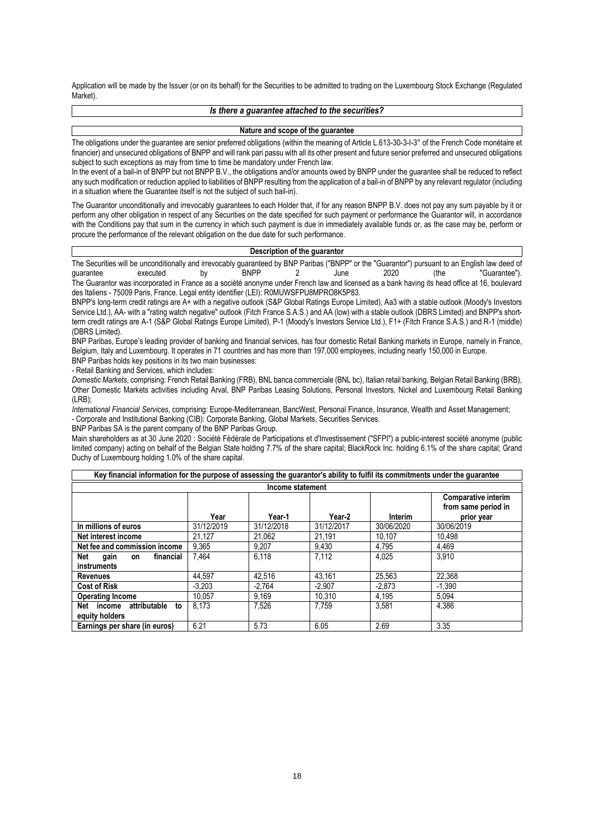Application will be made by the Issuer (or on its behalf) for the Securities to be admitted to trading on the Luxembourg Stock Exchange (Regulated Market).

#### *Is there a guarantee attached to the securities?*

#### **Nature and scope of the guarantee**

The obligations under the guarantee are senior preferred obligations (within the meaning of Article L.613-30-3-I-3° of the French Code monétaire et financier) and unsecured obligations of BNPP and will rank pari passu with all its other present and future senior preferred and unsecured obligations subject to such exceptions as may from time to time be mandatory under French law.

In the event of a bail-in of BNPP but not BNPP B.V., the obligations and/or amounts owed by BNPP under the quarantee shall be reduced to reflect any such modification or reduction applied to liabilities of BNPP resulting from the application of a bail-in of BNPP by any relevant regulator (including in a situation where the Guarantee itself is not the subject of such bail-in).

The Guarantor unconditionally and irrevocably guarantees to each Holder that, if for any reason BNPP B.V. does not pay any sum payable by it or perform any other obligation in respect of any Securities on the date specified for such payment or performance the Guarantor will, in accordance with the Conditions pay that sum in the currency in which such payment is due in immediately available funds or, as the case may be, perform or procure the performance of the relevant obligation on the due date for such performance.

#### **Description of the guarantor**

The Securities will be unconditionally and irrevocably guaranteed by BNP Paribas ("BNPP" or the "Guarantor") pursuant to an English law deed of guarantee executed by BNPP 2 June 2020 (the "Guarantee"). The Guarantor was incorporated in France as a société anonyme under French law and licensed as a bank having its head office at 16, boulevard

des Italiens - 75009 Paris, France. Legal entity identifier (LEI): R0MUWSFPU8MPRO8K5P83. BNPP's long-term credit ratings are A+ with a negative outlook (S&P Global Ratings Europe Limited), Aa3 with a stable outlook (Moody's Investors Service Ltd.), AA- with a "rating watch negative" outlook (Fitch France S.A.S.) and AA (low) with a stable outlook (DBRS Limited) and BNPP's shortterm credit ratings are A-1 (S&P Global Ratings Europe Limited), P-1 (Moody's Investors Service Ltd.), F1+ (Fitch France S.A.S.) and R-1 (middle) (DBRS Limited).

BNP Paribas, Europe's leading provider of banking and financial services, has four domestic Retail Banking markets in Europe, namely in France, Belgium, Italy and Luxembourg. It operates in 71 countries and has more than 197,000 employees, including nearly 150,000 in Europe. BNP Paribas holds key positions in its two main businesses:

- Retail Banking and Services, which includes:

*Domestic Markets*, comprising: French Retail Banking (FRB), BNL banca commerciale (BNL bc), Italian retail banking, Belgian Retail Banking (BRB), Other Domestic Markets activities including Arval, BNP Paribas Leasing Solutions, Personal Investors, Nickel and Luxembourg Retail Banking (LRB);

*International Financial Services*, comprising: Europe-Mediterranean, BancWest, Personal Finance, Insurance, Wealth and Asset Management; - Corporate and Institutional Banking (CIB): Corporate Banking, Global Markets, Securities Services.

BNP Paribas SA is the parent company of the BNP Paribas Group.

Main shareholders as at 30 June 2020 : Société Fédérale de Participations et d'Investissement ("SFPI") a public-interest société anonyme (public limited company) acting on behalf of the Belgian State holding 7.7% of the share capital; BlackRock Inc. holding 6.1% of the share capital; Grand Duchy of Luxembourg holding 1.0% of the share capital.

| Key financial information for the purpose of assessing the guarantor's ability to fulfil its commitments under the guarantee |            |            |            |            |                                                          |  |  |  |
|------------------------------------------------------------------------------------------------------------------------------|------------|------------|------------|------------|----------------------------------------------------------|--|--|--|
| Income statement                                                                                                             |            |            |            |            |                                                          |  |  |  |
|                                                                                                                              | Year       | Year-1     | Year-2     | Interim    | Comparative interim<br>from same period in<br>prior year |  |  |  |
| In millions of euros                                                                                                         | 31/12/2019 | 31/12/2018 | 31/12/2017 | 30/06/2020 | 30/06/2019                                               |  |  |  |
| Net interest income                                                                                                          | 21.127     | 21.062     | 21.191     | 10.107     | 10.498                                                   |  |  |  |
| Net fee and commission income                                                                                                | 9,365      | 9.207      | 9,430      | 4.795      | 4.469                                                    |  |  |  |
| Net<br>financial<br>gain<br>on<br>instruments                                                                                | 7.464      | 6.118      | 7.112      | 4.025      | 3.910                                                    |  |  |  |
| <b>Revenues</b>                                                                                                              | 44.597     | 42.516     | 43.161     | 25.563     | 22.368                                                   |  |  |  |
| <b>Cost of Risk</b>                                                                                                          | $-3.203$   | $-2.764$   | $-2.907$   | $-2.873$   | $-1.390$                                                 |  |  |  |
| <b>Operating Income</b>                                                                                                      | 10.057     | 9.169      | 10.310     | 4.195      | 5.094                                                    |  |  |  |
| attributable<br>Net income<br>to<br>equity holders                                                                           | 8.173      | 7,526      | 7,759      | 3,581      | 4,386                                                    |  |  |  |
| Earnings per share (in euros)                                                                                                | 6.21       | 5.73       | 6.05       | 2.69       | 3.35                                                     |  |  |  |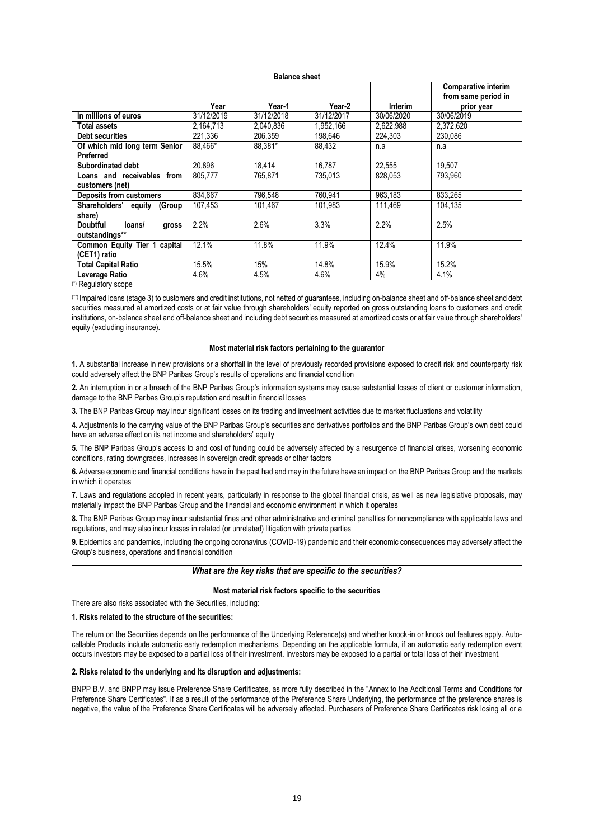| <b>Balance sheet</b>               |            |            |            |            |                                                   |  |  |
|------------------------------------|------------|------------|------------|------------|---------------------------------------------------|--|--|
|                                    |            |            |            |            | <b>Comparative interim</b><br>from same period in |  |  |
|                                    | Year       | Year-1     | Year-2     | Interim    | prior year                                        |  |  |
| In millions of euros               | 31/12/2019 | 31/12/2018 | 31/12/2017 | 30/06/2020 | 30/06/2019                                        |  |  |
| Total assets                       | 2,164,713  | 2.040.836  | 1,952,166  | 2,622,988  | 2,372,620                                         |  |  |
| <b>Debt securities</b>             | 221.336    | 206,359    | 198,646    | 224,303    | 230,086                                           |  |  |
| Of which mid long term Senior      | 88.466*    | 88,381*    | 88,432     | n.a        | n.a                                               |  |  |
| Preferred                          |            |            |            |            |                                                   |  |  |
| Subordinated debt                  | 20.896     | 18.414     | 16.787     | 22.555     | 19.507                                            |  |  |
| Loans and receivables from         | 805,777    | 765,871    | 735,013    | 828,053    | 793,960                                           |  |  |
| customers (net)                    |            |            |            |            |                                                   |  |  |
| <b>Deposits from customers</b>     | 834,667    | 796,548    | 760,941    | 963,183    | 833,265                                           |  |  |
| Shareholders' equity<br>(Group     | 107.453    | 101.467    | 101.983    | 111.469    | 104.135                                           |  |  |
| share)                             |            |            |            |            |                                                   |  |  |
| <b>Doubtful</b><br>loans/<br>gross | 2.2%       | 2.6%       | 3.3%       | 2.2%       | 2.5%                                              |  |  |
| outstandings**                     |            |            |            |            |                                                   |  |  |
| Common Equity Tier 1 capital       | 12.1%      | 11.8%      | 11.9%      | 12.4%      | 11.9%                                             |  |  |
| (CET1) ratio                       |            |            |            |            |                                                   |  |  |
| <b>Total Capital Ratio</b>         | 15.5%      | 15%        | 14.8%      | 15.9%      | 15.2%                                             |  |  |
| Leverage Ratio<br>141              | 4.6%       | 4.5%       | 4.6%       | 4%         | 4.1%                                              |  |  |

(\*) Regulatory scope

(\*\*) Impaired loans (stage 3) to customers and credit institutions, not netted of guarantees, including on-balance sheet and off-balance sheet and debt securities measured at amortized costs or at fair value through shareholders' equity reported on gross outstanding loans to customers and credit institutions, on-balance sheet and off-balance sheet and including debt securities measured at amortized costs or at fair value through shareholders' equity (excluding insurance).

#### **Most material risk factors pertaining to the guarantor**

**1.** A substantial increase in new provisions or a shortfall in the level of previously recorded provisions exposed to credit risk and counterparty risk could adversely affect the BNP Paribas Group's results of operations and financial condition

**2.** An interruption in or a breach of the BNP Paribas Group's information systems may cause substantial losses of client or customer information, damage to the BNP Paribas Group's reputation and result in financial losses

**3.** The BNP Paribas Group may incur significant losses on its trading and investment activities due to market fluctuations and volatility

**4.** Adjustments to the carrying value of the BNP Paribas Group's securities and derivatives portfolios and the BNP Paribas Group's own debt could have an adverse effect on its net income and shareholders' equity

**5.** The BNP Paribas Group's access to and cost of funding could be adversely affected by a resurgence of financial crises, worsening economic conditions, rating downgrades, increases in sovereign credit spreads or other factors

**6.** Adverse economic and financial conditions have in the past had and may in the future have an impact on the BNP Paribas Group and the markets in which it operates

**7.** Laws and regulations adopted in recent years, particularly in response to the global financial crisis, as well as new legislative proposals, may materially impact the BNP Paribas Group and the financial and economic environment in which it operates

**8.** The BNP Paribas Group may incur substantial fines and other administrative and criminal penalties for noncompliance with applicable laws and regulations, and may also incur losses in related (or unrelated) litigation with private parties

**9.** Epidemics and pandemics, including the ongoing coronavirus (COVID-19) pandemic and their economic consequences may adversely affect the Group's business, operations and financial condition

| What are the key risks that are specific to the securities? |  |
|-------------------------------------------------------------|--|
|-------------------------------------------------------------|--|

#### **Most material risk factors specific to the securities**

There are also risks associated with the Securities, including:

#### **1. Risks related to the structure of the securities:**

The return on the Securities depends on the performance of the Underlying Reference(s) and whether knock-in or knock out features apply. Autocallable Products include automatic early redemption mechanisms. Depending on the applicable formula, if an automatic early redemption event occurs investors may be exposed to a partial loss of their investment. Investors may be exposed to a partial or total loss of their investment.

## **2. Risks related to the underlying and its disruption and adjustments:**

BNPP B.V. and BNPP may issue Preference Share Certificates, as more fully described in the "Annex to the Additional Terms and Conditions for Preference Share Certificates". If as a result of the performance of the Preference Share Underlying, the performance of the preference shares is negative, the value of the Preference Share Certificates will be adversely affected. Purchasers of Preference Share Certificates risk losing all or a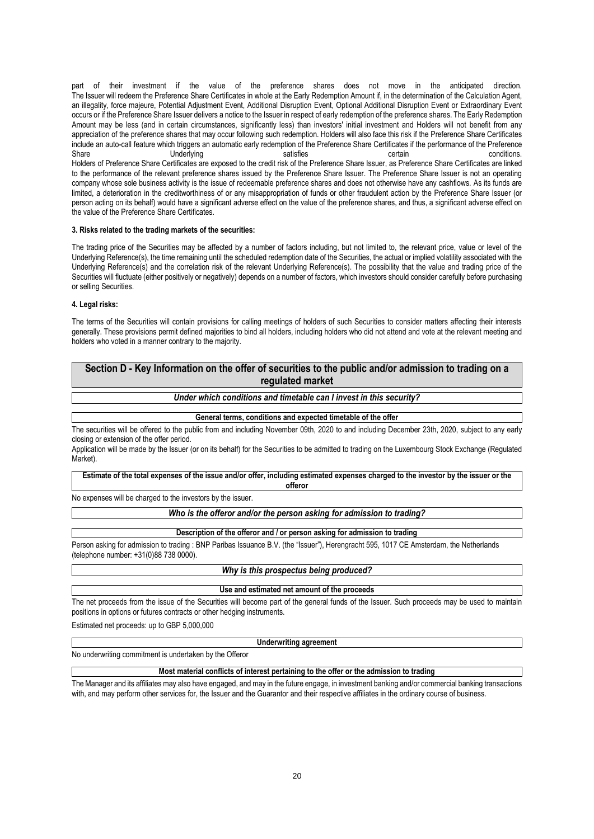part of their investment if the value of the preference shares does not move in the anticipated direction. The Issuer will redeem the Preference Share Certificates in whole at the Early Redemption Amount if, in the determination of the Calculation Agent, an illegality, force majeure, Potential Adjustment Event, Additional Disruption Event, Optional Additional Disruption Event or Extraordinary Event occurs or if the Preference Share Issuer delivers a notice to the Issuer in respect of early redemption of the preference shares. The Early Redemption Amount may be less (and in certain circumstances, significantly less) than investors' initial investment and Holders will not benefit from any appreciation of the preference shares that may occur following such redemption. Holders will also face this risk if the Preference Share Certificates include an auto-call feature which triggers an automatic early redemption of the Preference Share Certificates if the performance of the Preference Share **Share Share Conditions** Underlying conditions. Satisfies certain conditions. Holders of Preference Share Certificates are exposed to the credit risk of the Preference Share Issuer, as Preference Share Certificates are linked to the performance of the relevant preference shares issued by the Preference Share Issuer. The Preference Share Issuer is not an operating company whose sole business activity is the issue of redeemable preference shares and does not otherwise have any cashflows. As its funds are limited, a deterioration in the creditworthiness of or any misappropriation of funds or other fraudulent action by the Preference Share Issuer (or person acting on its behalf) would have a significant adverse effect on the value of the preference shares, and thus, a significant adverse effect on the value of the Preference Share Certificates.

### **3. Risks related to the trading markets of the securities:**

The trading price of the Securities may be affected by a number of factors including, but not limited to, the relevant price, value or level of the Underlying Reference(s), the time remaining until the scheduled redemption date of the Securities, the actual or implied volatility associated with the Underlying Reference(s) and the correlation risk of the relevant Underlying Reference(s). The possibility that the value and trading price of the Securities will fluctuate (either positively or negatively) depends on a number of factors, which investors should consider carefully before purchasing or selling Securities.

#### **4. Legal risks:**

The terms of the Securities will contain provisions for calling meetings of holders of such Securities to consider matters affecting their interests generally. These provisions permit defined majorities to bind all holders, including holders who did not attend and vote at the relevant meeting and holders who voted in a manner contrary to the majority.

# **Section D - Key Information on the offer of securities to the public and/or admission to trading on a regulated market**

# *Under which conditions and timetable can I invest in this security?*

#### **General terms, conditions and expected timetable of the offer**

The securities will be offered to the public from and including November 09th, 2020 to and including December 23th, 2020, subject to any early closing or extension of the offer period.

Application will be made by the Issuer (or on its behalf) for the Securities to be admitted to trading on the Luxembourg Stock Exchange (Regulated Market).

#### **Estimate of the total expenses of the issue and/or offer, including estimated expenses charged to the investor by the issuer or the offeror**

No expenses will be charged to the investors by the issuer.

## *Who is the offeror and/or the person asking for admission to trading?*

#### **Description of the offeror and / or person asking for admission to trading**

Person asking for admission to trading : BNP Paribas Issuance B.V. (the "Issuer"), Herengracht 595, 1017 CE Amsterdam, the Netherlands (telephone number: +31(0)88 738 0000).

#### *Why is this prospectus being produced?*

#### **Use and estimated net amount of the proceeds**

The net proceeds from the issue of the Securities will become part of the general funds of the Issuer. Such proceeds may be used to maintain positions in options or futures contracts or other hedging instruments.

Estimated net proceeds: up to GBP 5,000,000

#### **Underwriting agreement**

No underwriting commitment is undertaken by the Offeror

### **Most material conflicts of interest pertaining to the offer or the admission to trading**

The Manager and its affiliates may also have engaged, and may in the future engage, in investment banking and/or commercial banking transactions with, and may perform other services for, the Issuer and the Guarantor and their respective affiliates in the ordinary course of business.